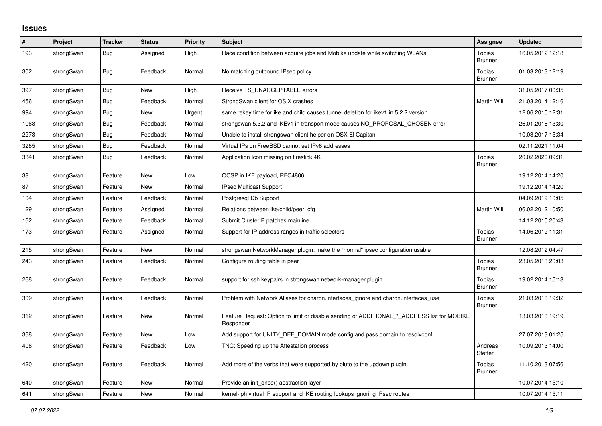## **Issues**

| #    | Project    | <b>Tracker</b> | <b>Status</b> | <b>Priority</b> | <b>Subject</b>                                                                                           | Assignee                        | <b>Updated</b>   |
|------|------------|----------------|---------------|-----------------|----------------------------------------------------------------------------------------------------------|---------------------------------|------------------|
| 193  | strongSwan | <b>Bug</b>     | Assigned      | High            | Race condition between acquire jobs and Mobike update while switching WLANs                              | Tobias<br><b>Brunner</b>        | 16.05.2012 12:18 |
| 302  | strongSwan | <b>Bug</b>     | Feedback      | Normal          | No matching outbound IPsec policy                                                                        | Tobias<br><b>Brunner</b>        | 01.03.2013 12:19 |
| 397  | strongSwan | Bug            | <b>New</b>    | High            | Receive TS_UNACCEPTABLE errors                                                                           |                                 | 31.05.2017 00:35 |
| 456  | strongSwan | <b>Bug</b>     | Feedback      | Normal          | StrongSwan client for OS X crashes                                                                       | Martin Willi                    | 21.03.2014 12:16 |
| 994  | strongSwan | Bug            | New           | Urgent          | same rekey time for ike and child causes tunnel deletion for ikey1 in 5.2.2 version                      |                                 | 12.06.2015 12:31 |
| 1068 | strongSwan | <b>Bug</b>     | Feedback      | Normal          | strongswan 5.3.2 and IKEv1 in transport mode causes NO_PROPOSAL_CHOSEN error                             |                                 | 26.01.2018 13:30 |
| 2273 | strongSwan | <b>Bug</b>     | Feedback      | Normal          | Unable to install strongswan client helper on OSX El Capitan                                             |                                 | 10.03.2017 15:34 |
| 3285 | strongSwan | Bug            | Feedback      | Normal          | Virtual IPs on FreeBSD cannot set IPv6 addresses                                                         |                                 | 02.11.2021 11:04 |
| 3341 | strongSwan | Bug            | Feedback      | Normal          | Application Icon missing on firestick 4K                                                                 | Tobias<br><b>Brunner</b>        | 20.02.2020 09:31 |
| 38   | strongSwan | Feature        | <b>New</b>    | Low             | OCSP in IKE payload, RFC4806                                                                             |                                 | 19.12.2014 14:20 |
| 87   | strongSwan | Feature        | New           | Normal          | <b>IPsec Multicast Support</b>                                                                           |                                 | 19.12.2014 14:20 |
| 104  | strongSwan | Feature        | Feedback      | Normal          | Postgresgl Db Support                                                                                    |                                 | 04.09.2019 10:05 |
| 129  | strongSwan | Feature        | Assigned      | Normal          | Relations between ike/child/peer cfg                                                                     | Martin Willi                    | 06.02.2012 10:50 |
| 162  | strongSwan | Feature        | Feedback      | Normal          | Submit ClusterIP patches mainline                                                                        |                                 | 14.12.2015 20:43 |
| 173  | strongSwan | Feature        | Assigned      | Normal          | Support for IP address ranges in traffic selectors                                                       | Tobias<br>Brunner               | 14.06.2012 11:31 |
| 215  | strongSwan | Feature        | New           | Normal          | strongswan NetworkManager plugin: make the "normal" ipsec configuration usable                           |                                 | 12.08.2012 04:47 |
| 243  | strongSwan | Feature        | Feedback      | Normal          | Configure routing table in peer                                                                          | <b>Tobias</b><br><b>Brunner</b> | 23.05.2013 20:03 |
| 268  | strongSwan | Feature        | Feedback      | Normal          | support for ssh keypairs in strongswan network-manager plugin                                            | Tobias<br>Brunner               | 19.02.2014 15:13 |
| 309  | strongSwan | Feature        | Feedback      | Normal          | Problem with Network Aliases for charon.interfaces_ignore and charon.interfaces_use                      | Tobias<br><b>Brunner</b>        | 21.03.2013 19:32 |
| 312  | strongSwan | Feature        | New           | Normal          | Feature Request: Option to limit or disable sending of ADDITIONAL * ADDRESS list for MOBIKE<br>Responder |                                 | 13.03.2013 19:19 |
| 368  | strongSwan | Feature        | New           | Low             | Add support for UNITY DEF DOMAIN mode config and pass domain to resolveonf                               |                                 | 27.07.2013 01:25 |
| 406  | strongSwan | Feature        | Feedback      | Low             | TNC: Speeding up the Attestation process                                                                 | Andreas<br>Steffen              | 10.09.2013 14:00 |
| 420  | strongSwan | Feature        | Feedback      | Normal          | Add more of the verbs that were supported by pluto to the updown plugin                                  | Tobias<br><b>Brunner</b>        | 11.10.2013 07:56 |
| 640  | strongSwan | Feature        | <b>New</b>    | Normal          | Provide an init once() abstraction layer                                                                 |                                 | 10.07.2014 15:10 |
| 641  | strongSwan | Feature        | <b>New</b>    | Normal          | kernel-iph virtual IP support and IKE routing lookups ignoring IPsec routes                              |                                 | 10.07.2014 15:11 |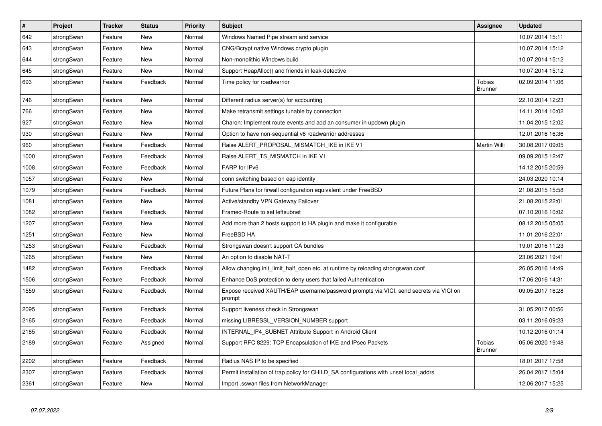| $\sharp$ | Project    | <b>Tracker</b> | <b>Status</b> | <b>Priority</b> | <b>Subject</b>                                                                                   | Assignee                        | <b>Updated</b>   |
|----------|------------|----------------|---------------|-----------------|--------------------------------------------------------------------------------------------------|---------------------------------|------------------|
| 642      | strongSwan | Feature        | <b>New</b>    | Normal          | Windows Named Pipe stream and service                                                            |                                 | 10.07.2014 15:11 |
| 643      | strongSwan | Feature        | <b>New</b>    | Normal          | CNG/Bcrypt native Windows crypto plugin                                                          |                                 | 10.07.2014 15:12 |
| 644      | strongSwan | Feature        | <b>New</b>    | Normal          | Non-monolithic Windows build                                                                     |                                 | 10.07.2014 15:12 |
| 645      | strongSwan | Feature        | <b>New</b>    | Normal          | Support HeapAlloc() and friends in leak-detective                                                |                                 | 10.07.2014 15:12 |
| 693      | strongSwan | Feature        | Feedback      | Normal          | Time policy for roadwarrior                                                                      | <b>Tobias</b><br><b>Brunner</b> | 02.09.2014 11:06 |
| 746      | strongSwan | Feature        | <b>New</b>    | Normal          | Different radius server(s) for accounting                                                        |                                 | 22.10.2014 12:23 |
| 766      | strongSwan | Feature        | <b>New</b>    | Normal          | Make retransmit settings tunable by connection                                                   |                                 | 14.11.2014 10:02 |
| 927      | strongSwan | Feature        | New           | Normal          | Charon: Implement route events and add an consumer in updown plugin                              |                                 | 11.04.2015 12:02 |
| 930      | strongSwan | Feature        | <b>New</b>    | Normal          | Option to have non-sequential v6 roadwarrior addresses                                           |                                 | 12.01.2016 16:36 |
| 960      | strongSwan | Feature        | Feedback      | Normal          | Raise ALERT PROPOSAL MISMATCH IKE in IKE V1                                                      | <b>Martin Willi</b>             | 30.08.2017 09:05 |
| 1000     | strongSwan | Feature        | Feedback      | Normal          | Raise ALERT_TS_MISMATCH in IKE V1                                                                |                                 | 09.09.2015 12:47 |
| 1008     | strongSwan | Feature        | Feedback      | Normal          | FARP for IPv6                                                                                    |                                 | 14.12.2015 20:59 |
| 1057     | strongSwan | Feature        | New           | Normal          | conn switching based on eap identity                                                             |                                 | 24.03.2020 10:14 |
| 1079     | strongSwan | Feature        | Feedback      | Normal          | Future Plans for firwall configuration equivalent under FreeBSD                                  |                                 | 21.08.2015 15:58 |
| 1081     | strongSwan | Feature        | <b>New</b>    | Normal          | Active/standby VPN Gateway Failover                                                              |                                 | 21.08.2015 22:01 |
| 1082     | strongSwan | Feature        | Feedback      | Normal          | Framed-Route to set leftsubnet                                                                   |                                 | 07.10.2016 10:02 |
| 1207     | strongSwan | Feature        | <b>New</b>    | Normal          | Add more than 2 hosts support to HA plugin and make it configurable                              |                                 | 08.12.2015 05:05 |
| 1251     | strongSwan | Feature        | <b>New</b>    | Normal          | FreeBSD HA                                                                                       |                                 | 11.01.2016 22:01 |
| 1253     | strongSwan | Feature        | Feedback      | Normal          | Strongswan doesn't support CA bundles                                                            |                                 | 19.01.2016 11:23 |
| 1265     | strongSwan | Feature        | <b>New</b>    | Normal          | An option to disable NAT-T                                                                       |                                 | 23.06.2021 19:41 |
| 1482     | strongSwan | Feature        | Feedback      | Normal          | Allow changing init_limit_half_open etc. at runtime by reloading strongswan.conf                 |                                 | 26.05.2016 14:49 |
| 1506     | strongSwan | Feature        | Feedback      | Normal          | Enhance DoS protection to deny users that failed Authentication                                  |                                 | 17.06.2016 14:31 |
| 1559     | strongSwan | Feature        | Feedback      | Normal          | Expose received XAUTH/EAP username/password prompts via VICI, send secrets via VICI on<br>prompt |                                 | 09.05.2017 16:28 |
| 2095     | strongSwan | Feature        | Feedback      | Normal          | Support liveness check in Strongswan                                                             |                                 | 31.05.2017 00:56 |
| 2165     | strongSwan | Feature        | Feedback      | Normal          | missing LIBRESSL_VERSION_NUMBER support                                                          |                                 | 03.11.2016 09:23 |
| 2185     | strongSwan | Feature        | Feedback      | Normal          | INTERNAL_IP4_SUBNET Attribute Support in Android Client                                          |                                 | 10.12.2016 01:14 |
| 2189     | strongSwan | Feature        | Assigned      | Normal          | Support RFC 8229: TCP Encapsulation of IKE and IPsec Packets                                     | Tobias<br><b>Brunner</b>        | 05.06.2020 19:48 |
| 2202     | strongSwan | Feature        | Feedback      | Normal          | Radius NAS IP to be specified                                                                    |                                 | 18.01.2017 17:58 |
| 2307     | strongSwan | Feature        | Feedback      | Normal          | Permit installation of trap policy for CHILD_SA configurations with unset local_addrs            |                                 | 26.04.2017 15:04 |
| 2361     | strongSwan | Feature        | New           | Normal          | Import .sswan files from NetworkManager                                                          |                                 | 12.06.2017 15:25 |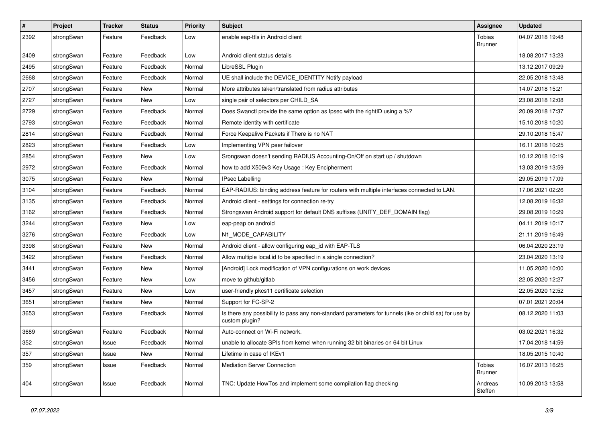| $\sharp$ | Project    | <b>Tracker</b> | <b>Status</b> | <b>Priority</b> | <b>Subject</b>                                                                                                          | <b>Assignee</b>          | <b>Updated</b>   |
|----------|------------|----------------|---------------|-----------------|-------------------------------------------------------------------------------------------------------------------------|--------------------------|------------------|
| 2392     | strongSwan | Feature        | Feedback      | Low             | enable eap-ttls in Android client                                                                                       | Tobias<br><b>Brunner</b> | 04.07.2018 19:48 |
| 2409     | strongSwan | Feature        | Feedback      | Low             | Android client status details                                                                                           |                          | 18.08.2017 13:23 |
| 2495     | strongSwan | Feature        | Feedback      | Normal          | LibreSSL Plugin                                                                                                         |                          | 13.12.2017 09:29 |
| 2668     | strongSwan | Feature        | Feedback      | Normal          | UE shall include the DEVICE_IDENTITY Notify payload                                                                     |                          | 22.05.2018 13:48 |
| 2707     | strongSwan | Feature        | New           | Normal          | More attributes taken/translated from radius attributes                                                                 |                          | 14.07.2018 15:21 |
| 2727     | strongSwan | Feature        | <b>New</b>    | Low             | single pair of selectors per CHILD_SA                                                                                   |                          | 23.08.2018 12:08 |
| 2729     | strongSwan | Feature        | Feedback      | Normal          | Does Swanctl provide the same option as Ipsec with the rightID using a %?                                               |                          | 20.09.2018 17:37 |
| 2793     | strongSwan | Feature        | Feedback      | Normal          | Remote identity with certificate                                                                                        |                          | 15.10.2018 10:20 |
| 2814     | strongSwan | Feature        | Feedback      | Normal          | Force Keepalive Packets if There is no NAT                                                                              |                          | 29.10.2018 15:47 |
| 2823     | strongSwan | Feature        | Feedback      | Low             | Implementing VPN peer failover                                                                                          |                          | 16.11.2018 10:25 |
| 2854     | strongSwan | Feature        | New           | Low             | Srongswan doesn't sending RADIUS Accounting-On/Off on start up / shutdown                                               |                          | 10.12.2018 10:19 |
| 2972     | strongSwan | Feature        | Feedback      | Normal          | how to add X509v3 Key Usage: Key Encipherment                                                                           |                          | 13.03.2019 13:59 |
| 3075     | strongSwan | Feature        | New           | Normal          | <b>IPsec Labelling</b>                                                                                                  |                          | 29.05.2019 17:09 |
| 3104     | strongSwan | Feature        | Feedback      | Normal          | EAP-RADIUS: binding address feature for routers with multiple interfaces connected to LAN.                              |                          | 17.06.2021 02:26 |
| 3135     | strongSwan | Feature        | Feedback      | Normal          | Android client - settings for connection re-try                                                                         |                          | 12.08.2019 16:32 |
| 3162     | strongSwan | Feature        | Feedback      | Normal          | Strongswan Android support for default DNS suffixes (UNITY_DEF_DOMAIN flag)                                             |                          | 29.08.2019 10:29 |
| 3244     | strongSwan | Feature        | New           | Low             | eap-peap on android                                                                                                     |                          | 04.11.2019 10:17 |
| 3276     | strongSwan | Feature        | Feedback      | Low             | N1_MODE_CAPABILITY                                                                                                      |                          | 21.11.2019 16:49 |
| 3398     | strongSwan | Feature        | <b>New</b>    | Normal          | Android client - allow configuring eap_id with EAP-TLS                                                                  |                          | 06.04.2020 23:19 |
| 3422     | strongSwan | Feature        | Feedback      | Normal          | Allow multiple local.id to be specified in a single connection?                                                         |                          | 23.04.2020 13:19 |
| 3441     | strongSwan | Feature        | New           | Normal          | [Android] Lock modification of VPN configurations on work devices                                                       |                          | 11.05.2020 10:00 |
| 3456     | strongSwan | Feature        | <b>New</b>    | Low             | move to github/gitlab                                                                                                   |                          | 22.05.2020 12:27 |
| 3457     | strongSwan | Feature        | New           | Low             | user-friendly pkcs11 certificate selection                                                                              |                          | 22.05.2020 12:52 |
| 3651     | strongSwan | Feature        | New           | Normal          | Support for FC-SP-2                                                                                                     |                          | 07.01.2021 20:04 |
| 3653     | strongSwan | Feature        | Feedback      | Normal          | Is there any possibility to pass any non-standard parameters for tunnels (ike or child sa) for use by<br>custom plugin? |                          | 08.12.2020 11:03 |
| 3689     | strongSwan | Feature        | Feedback      | Normal          | Auto-connect on Wi-Fi network.                                                                                          |                          | 03.02.2021 16:32 |
| 352      | strongSwan | Issue          | Feedback      | Normal          | unable to allocate SPIs from kernel when running 32 bit binaries on 64 bit Linux                                        |                          | 17.04.2018 14:59 |
| 357      | strongSwan | Issue          | New           | Normal          | Lifetime in case of IKEv1                                                                                               |                          | 18.05.2015 10:40 |
| 359      | strongSwan | Issue          | Feedback      | Normal          | Mediation Server Connection                                                                                             | Tobias<br><b>Brunner</b> | 16.07.2013 16:25 |
| 404      | strongSwan | Issue          | Feedback      | Normal          | TNC: Update HowTos and implement some compilation flag checking                                                         | Andreas<br>Steffen       | 10.09.2013 13:58 |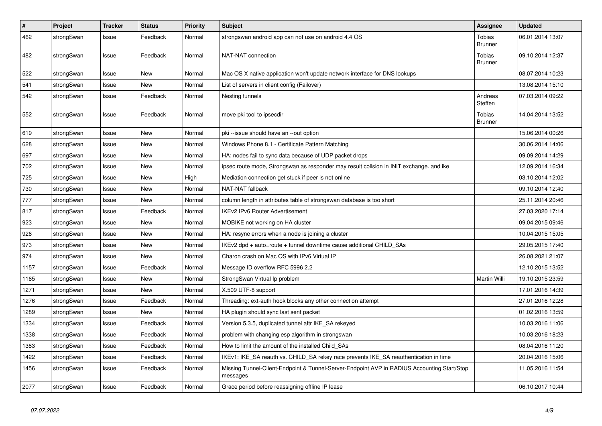| $\pmb{\#}$ | Project    | <b>Tracker</b> | <b>Status</b> | <b>Priority</b> | <b>Subject</b>                                                                                          | <b>Assignee</b>                 | <b>Updated</b>   |
|------------|------------|----------------|---------------|-----------------|---------------------------------------------------------------------------------------------------------|---------------------------------|------------------|
| 462        | strongSwan | Issue          | Feedback      | Normal          | strongswan android app can not use on android 4.4 OS                                                    | Tobias<br><b>Brunner</b>        | 06.01.2014 13:07 |
| 482        | strongSwan | Issue          | Feedback      | Normal          | NAT-NAT connection                                                                                      | Tobias<br><b>Brunner</b>        | 09.10.2014 12:37 |
| 522        | strongSwan | Issue          | <b>New</b>    | Normal          | Mac OS X native application won't update network interface for DNS lookups                              |                                 | 08.07.2014 10:23 |
| 541        | strongSwan | Issue          | New           | Normal          | List of servers in client config (Failover)                                                             |                                 | 13.08.2014 15:10 |
| 542        | strongSwan | Issue          | Feedback      | Normal          | Nesting tunnels                                                                                         | Andreas<br>Steffen              | 07.03.2014 09:22 |
| 552        | strongSwan | Issue          | Feedback      | Normal          | move pki tool to ipsecdir                                                                               | <b>Tobias</b><br><b>Brunner</b> | 14.04.2014 13:52 |
| 619        | strongSwan | Issue          | New           | Normal          | pki --issue should have an --out option                                                                 |                                 | 15.06.2014 00:26 |
| 628        | strongSwan | Issue          | New           | Normal          | Windows Phone 8.1 - Certificate Pattern Matching                                                        |                                 | 30.06.2014 14:06 |
| 697        | strongSwan | Issue          | New           | Normal          | HA: nodes fail to sync data because of UDP packet drops                                                 |                                 | 09.09.2014 14:29 |
| 702        | strongSwan | Issue          | New           | Normal          | ipsec route mode, Strongswan as responder may result collsion in INIT exchange. and ike                 |                                 | 12.09.2014 16:34 |
| 725        | strongSwan | Issue          | New           | High            | Mediation connection get stuck if peer is not online                                                    |                                 | 03.10.2014 12:02 |
| 730        | strongSwan | Issue          | New           | Normal          | NAT-NAT fallback                                                                                        |                                 | 09.10.2014 12:40 |
| 777        | strongSwan | Issue          | New           | Normal          | column length in attributes table of strongswan database is too short                                   |                                 | 25.11.2014 20:46 |
| 817        | strongSwan | Issue          | Feedback      | Normal          | <b>IKEv2 IPv6 Router Advertisement</b>                                                                  |                                 | 27.03.2020 17:14 |
| 923        | strongSwan | Issue          | New           | Normal          | MOBIKE not working on HA cluster                                                                        |                                 | 09.04.2015 09:46 |
| 926        | strongSwan | Issue          | New           | Normal          | HA: resync errors when a node is joining a cluster                                                      |                                 | 10.04.2015 15:05 |
| 973        | strongSwan | Issue          | New           | Normal          | IKEv2 dpd + auto=route + tunnel downtime cause additional CHILD SAs                                     |                                 | 29.05.2015 17:40 |
| 974        | strongSwan | Issue          | New           | Normal          | Charon crash on Mac OS with IPv6 Virtual IP                                                             |                                 | 26.08.2021 21:07 |
| 1157       | strongSwan | Issue          | Feedback      | Normal          | Message ID overflow RFC 5996 2.2                                                                        |                                 | 12.10.2015 13:52 |
| 1165       | strongSwan | Issue          | New           | Normal          | StrongSwan Virtual Ip problem                                                                           | Martin Willi                    | 19.10.2015 23:59 |
| 1271       | strongSwan | Issue          | New           | Normal          | X.509 UTF-8 support                                                                                     |                                 | 17.01.2016 14:39 |
| 1276       | strongSwan | Issue          | Feedback      | Normal          | Threading: ext-auth hook blocks any other connection attempt                                            |                                 | 27.01.2016 12:28 |
| 1289       | strongSwan | Issue          | New           | Normal          | HA plugin should sync last sent packet                                                                  |                                 | 01.02.2016 13:59 |
| 1334       | strongSwan | Issue          | Feedback      | Normal          | Version 5.3.5, duplicated tunnel aftr IKE_SA rekeyed                                                    |                                 | 10.03.2016 11:06 |
| 1338       | strongSwan | Issue          | Feedback      | Normal          | problem with changing esp algorithm in strongswan                                                       |                                 | 10.03.2016 18:23 |
| 1383       | strongSwan | Issue          | Feedback      | Normal          | How to limit the amount of the installed Child SAs                                                      |                                 | 08.04.2016 11:20 |
| 1422       | strongSwan | Issue          | Feedback      | Normal          | IKEv1: IKE_SA reauth vs. CHILD_SA rekey race prevents IKE_SA reauthentication in time                   |                                 | 20.04.2016 15:06 |
| 1456       | strongSwan | Issue          | Feedback      | Normal          | Missing Tunnel-Client-Endpoint & Tunnel-Server-Endpoint AVP in RADIUS Accounting Start/Stop<br>messages |                                 | 11.05.2016 11:54 |
| 2077       | strongSwan | Issue          | Feedback      | Normal          | Grace period before reassigning offline IP lease                                                        |                                 | 06.10.2017 10:44 |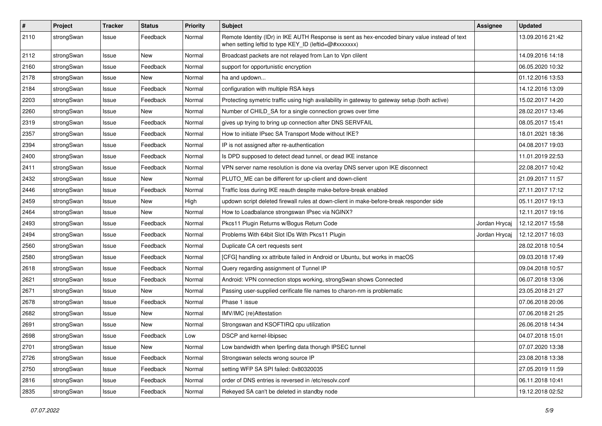| $\pmb{\#}$ | Project    | <b>Tracker</b> | <b>Status</b> | <b>Priority</b> | <b>Subject</b>                                                                                                                                          | <b>Assignee</b> | <b>Updated</b>   |
|------------|------------|----------------|---------------|-----------------|---------------------------------------------------------------------------------------------------------------------------------------------------------|-----------------|------------------|
| 2110       | strongSwan | Issue          | Feedback      | Normal          | Remote Identity (IDr) in IKE AUTH Response is sent as hex-encoded binary value instead of text<br>when setting leftid to type KEY ID (leftid=@#xxxxxxx) |                 | 13.09.2016 21:42 |
| 2112       | strongSwan | Issue          | New           | Normal          | Broadcast packets are not relayed from Lan to Vpn clilent                                                                                               |                 | 14.09.2016 14:18 |
| 2160       | strongSwan | Issue          | Feedback      | Normal          | support for opportunistic encryption                                                                                                                    |                 | 06.05.2020 10:32 |
| 2178       | strongSwan | Issue          | New           | Normal          | ha and updown                                                                                                                                           |                 | 01.12.2016 13:53 |
| 2184       | strongSwan | Issue          | Feedback      | Normal          | configuration with multiple RSA keys                                                                                                                    |                 | 14.12.2016 13:09 |
| 2203       | strongSwan | Issue          | Feedback      | Normal          | Protecting symetric traffic using high availability in gateway to gateway setup (both active)                                                           |                 | 15.02.2017 14:20 |
| 2260       | strongSwan | Issue          | New           | Normal          | Number of CHILD SA for a single connection grows over time                                                                                              |                 | 28.02.2017 13:46 |
| 2319       | strongSwan | Issue          | Feedback      | Normal          | gives up trying to bring up connection after DNS SERVFAIL                                                                                               |                 | 08.05.2017 15:41 |
| 2357       | strongSwan | Issue          | Feedback      | Normal          | How to initiate IPsec SA Transport Mode without IKE?                                                                                                    |                 | 18.01.2021 18:36 |
| 2394       | strongSwan | Issue          | Feedback      | Normal          | IP is not assigned after re-authentication                                                                                                              |                 | 04.08.2017 19:03 |
| 2400       | strongSwan | Issue          | Feedback      | Normal          | Is DPD supposed to detect dead tunnel, or dead IKE instance                                                                                             |                 | 11.01.2019 22:53 |
| 2411       | strongSwan | Issue          | Feedback      | Normal          | VPN server name resolution is done via overlay DNS server upon IKE disconnect                                                                           |                 | 22.08.2017 10:42 |
| 2432       | strongSwan | Issue          | New           | Normal          | PLUTO ME can be different for up-client and down-client                                                                                                 |                 | 21.09.2017 11:57 |
| 2446       | strongSwan | Issue          | Feedback      | Normal          | Traffic loss during IKE reauth despite make-before-break enabled                                                                                        |                 | 27.11.2017 17:12 |
| 2459       | strongSwan | Issue          | New           | High            | updown script deleted firewall rules at down-client in make-before-break responder side                                                                 |                 | 05.11.2017 19:13 |
| 2464       | strongSwan | Issue          | New           | Normal          | How to Loadbalance strongswan IPsec via NGINX?                                                                                                          |                 | 12.11.2017 19:16 |
| 2493       | strongSwan | Issue          | Feedback      | Normal          | Pkcs11 Plugin Returns w/Bogus Return Code                                                                                                               | Jordan Hrycaj   | 12.12.2017 15:58 |
| 2494       | strongSwan | Issue          | Feedback      | Normal          | Problems With 64bit Slot IDs With Pkcs11 Plugin                                                                                                         | Jordan Hrycaj   | 12.12.2017 16:03 |
| 2560       | strongSwan | Issue          | Feedback      | Normal          | Duplicate CA cert requests sent                                                                                                                         |                 | 28.02.2018 10:54 |
| 2580       | strongSwan | Issue          | Feedback      | Normal          | [CFG] handling xx attribute failed in Android or Ubuntu, but works in macOS                                                                             |                 | 09.03.2018 17:49 |
| 2618       | strongSwan | Issue          | Feedback      | Normal          | Query regarding assignment of Tunnel IP                                                                                                                 |                 | 09.04.2018 10:57 |
| 2621       | strongSwan | Issue          | Feedback      | Normal          | Android: VPN connection stops working, strongSwan shows Connected                                                                                       |                 | 06.07.2018 13:06 |
| 2671       | strongSwan | Issue          | New           | Normal          | Passing user-supplied cerificate file names to charon-nm is problematic                                                                                 |                 | 23.05.2018 21:27 |
| 2678       | strongSwan | Issue          | Feedback      | Normal          | Phase 1 issue                                                                                                                                           |                 | 07.06.2018 20:06 |
| 2682       | strongSwan | Issue          | New           | Normal          | IMV/IMC (re)Attestation                                                                                                                                 |                 | 07.06.2018 21:25 |
| 2691       | strongSwan | Issue          | New           | Normal          | Strongswan and KSOFTIRQ cpu utilization                                                                                                                 |                 | 26.06.2018 14:34 |
| 2698       | strongSwan | Issue          | Feedback      | Low             | DSCP and kernel-libipsec                                                                                                                                |                 | 04.07.2018 15:01 |
| 2701       | strongSwan | Issue          | New           | Normal          | Low bandwidth when Iperfing data thorugh IPSEC tunnel                                                                                                   |                 | 07.07.2020 13:38 |
| 2726       | strongSwan | Issue          | Feedback      | Normal          | Strongswan selects wrong source IP                                                                                                                      |                 | 23.08.2018 13:38 |
| 2750       | strongSwan | Issue          | Feedback      | Normal          | setting WFP SA SPI failed: 0x80320035                                                                                                                   |                 | 27.05.2019 11:59 |
| 2816       | strongSwan | Issue          | Feedback      | Normal          | order of DNS entries is reversed in /etc/resolv.conf                                                                                                    |                 | 06.11.2018 10:41 |
| 2835       | strongSwan | Issue          | Feedback      | Normal          | Rekeyed SA can't be deleted in standby node                                                                                                             |                 | 19.12.2018 02:52 |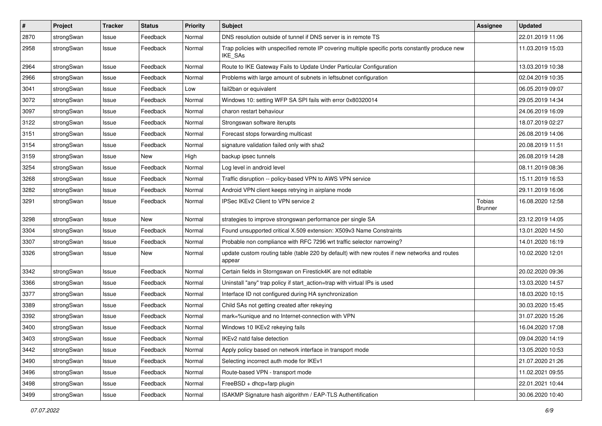| $\vert$ # | Project    | <b>Tracker</b> | <b>Status</b> | <b>Priority</b> | <b>Subject</b>                                                                                              | <b>Assignee</b>                 | <b>Updated</b>   |
|-----------|------------|----------------|---------------|-----------------|-------------------------------------------------------------------------------------------------------------|---------------------------------|------------------|
| 2870      | strongSwan | Issue          | Feedback      | Normal          | DNS resolution outside of tunnel if DNS server is in remote TS                                              |                                 | 22.01.2019 11:06 |
| 2958      | strongSwan | Issue          | Feedback      | Normal          | Trap policies with unspecified remote IP covering multiple specific ports constantly produce new<br>IKE_SAs |                                 | 11.03.2019 15:03 |
| 2964      | strongSwan | Issue          | Feedback      | Normal          | Route to IKE Gateway Fails to Update Under Particular Configuration                                         |                                 | 13.03.2019 10:38 |
| 2966      | strongSwan | Issue          | Feedback      | Normal          | Problems with large amount of subnets in leftsubnet configuration                                           |                                 | 02.04.2019 10:35 |
| 3041      | strongSwan | Issue          | Feedback      | Low             | fail2ban or equivalent                                                                                      |                                 | 06.05.2019 09:07 |
| 3072      | strongSwan | Issue          | Feedback      | Normal          | Windows 10: setting WFP SA SPI fails with error 0x80320014                                                  |                                 | 29.05.2019 14:34 |
| 3097      | strongSwan | Issue          | Feedback      | Normal          | charon restart behaviour                                                                                    |                                 | 24.06.2019 16:09 |
| 3122      | strongSwan | Issue          | Feedback      | Normal          | Strongswan software iterupts                                                                                |                                 | 18.07.2019 02:27 |
| 3151      | strongSwan | Issue          | Feedback      | Normal          | Forecast stops forwarding multicast                                                                         |                                 | 26.08.2019 14:06 |
| 3154      | strongSwan | Issue          | Feedback      | Normal          | signature validation failed only with sha2                                                                  |                                 | 20.08.2019 11:51 |
| 3159      | strongSwan | Issue          | New           | High            | backup ipsec tunnels                                                                                        |                                 | 26.08.2019 14:28 |
| 3254      | strongSwan | Issue          | Feedback      | Normal          | Log level in android level                                                                                  |                                 | 08.11.2019 08:36 |
| 3268      | strongSwan | Issue          | Feedback      | Normal          | Traffic disruption -- policy-based VPN to AWS VPN service                                                   |                                 | 15.11.2019 16:53 |
| 3282      | strongSwan | Issue          | Feedback      | Normal          | Android VPN client keeps retrying in airplane mode                                                          |                                 | 29.11.2019 16:06 |
| 3291      | strongSwan | Issue          | Feedback      | Normal          | IPSec IKEv2 Client to VPN service 2                                                                         | <b>Tobias</b><br><b>Brunner</b> | 16.08.2020 12:58 |
| 3298      | strongSwan | Issue          | New           | Normal          | strategies to improve strongswan performance per single SA                                                  |                                 | 23.12.2019 14:05 |
| 3304      | strongSwan | Issue          | Feedback      | Normal          | Found unsupported critical X.509 extension: X509v3 Name Constraints                                         |                                 | 13.01.2020 14:50 |
| 3307      | strongSwan | Issue          | Feedback      | Normal          | Probable non compliance with RFC 7296 wrt traffic selector narrowing?                                       |                                 | 14.01.2020 16:19 |
| 3326      | strongSwan | Issue          | <b>New</b>    | Normal          | update custom routing table (table 220 by default) with new routes if new networks and routes<br>appear     |                                 | 10.02.2020 12:01 |
| 3342      | strongSwan | Issue          | Feedback      | Normal          | Certain fields in Storngswan on Firestick4K are not editable                                                |                                 | 20.02.2020 09:36 |
| 3366      | strongSwan | Issue          | Feedback      | Normal          | Uninstall "any" trap policy if start_action=trap with virtual IPs is used                                   |                                 | 13.03.2020 14:57 |
| 3377      | strongSwan | Issue          | Feedback      | Normal          | Interface ID not configured during HA synchronization                                                       |                                 | 18.03.2020 10:15 |
| 3389      | strongSwan | Issue          | Feedback      | Normal          | Child SAs not getting created after rekeying                                                                |                                 | 30.03.2020 15:45 |
| 3392      | strongSwan | Issue          | Feedback      | Normal          | mark=%unique and no Internet-connection with VPN                                                            |                                 | 31.07.2020 15:26 |
| 3400      | strongSwan | Issue          | Feedback      | Normal          | Windows 10 IKEv2 rekeying fails                                                                             |                                 | 16.04.2020 17:08 |
| 3403      | strongSwan | Issue          | Feedback      | Normal          | IKEv2 natd false detection                                                                                  |                                 | 09.04.2020 14:19 |
| 3442      | strongSwan | Issue          | Feedback      | Normal          | Apply policy based on network interface in transport mode                                                   |                                 | 13.05.2020 10:53 |
| 3490      | strongSwan | Issue          | Feedback      | Normal          | Selecting incorrect auth mode for IKEv1                                                                     |                                 | 21.07.2020 21:26 |
| 3496      | strongSwan | Issue          | Feedback      | Normal          | Route-based VPN - transport mode                                                                            |                                 | 11.02.2021 09:55 |
| 3498      | strongSwan | Issue          | Feedback      | Normal          | FreeBSD + dhcp+farp plugin                                                                                  |                                 | 22.01.2021 10:44 |
| 3499      | strongSwan | Issue          | Feedback      | Normal          | ISAKMP Signature hash algorithm / EAP-TLS Authentification                                                  |                                 | 30.06.2020 10:40 |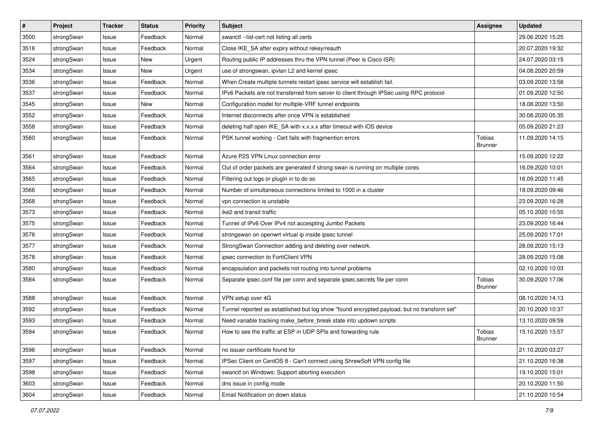| $\sharp$ | Project    | <b>Tracker</b> | <b>Status</b> | <b>Priority</b> | <b>Subject</b>                                                                              | <b>Assignee</b>          | <b>Updated</b>   |
|----------|------------|----------------|---------------|-----------------|---------------------------------------------------------------------------------------------|--------------------------|------------------|
| 3500     | strongSwan | Issue          | Feedback      | Normal          | swanctl --list-cert not listing all certs                                                   |                          | 29.06.2020 15:25 |
| 3516     | strongSwan | Issue          | Feedback      | Normal          | Close IKE_SA after expiry without rekey/reauth                                              |                          | 20.07.2020 19:32 |
| 3524     | strongSwan | Issue          | <b>New</b>    | Urgent          | Routing public IP addresses thru the VPN tunnel (Peer is Cisco ISR)                         |                          | 24.07.2020 03:15 |
| 3534     | strongSwan | Issue          | New           | Urgent          | use of strongswan, ipvlan L2 and kernel ipsec                                               |                          | 04.08.2020 20:59 |
| 3536     | strongSwan | Issue          | Feedback      | Normal          | When Create multiple tunnels restart ipsec service will establish fail.                     |                          | 03.09.2020 13:58 |
| 3537     | strongSwan | Issue          | Feedback      | Normal          | IPv6 Packets are not transferred from server to client through IPSec using RPC protocol     |                          | 01.09.2020 12:50 |
| 3545     | strongSwan | Issue          | New           | Normal          | Configuration model for multiple-VRF tunnel endpoints                                       |                          | 18.08.2020 13:50 |
| 3552     | strongSwan | Issue          | Feedback      | Normal          | Internet disconnects after once VPN is established                                          |                          | 30.08.2020 05:35 |
| 3558     | strongSwan | Issue          | Feedback      | Normal          | deleting half open IKE_SA with x.x.x.x after timeout with iOS device                        |                          | 05.09.2020 21:23 |
| 3560     | strongSwan | Issue          | Feedback      | Normal          | PSK tunnel working - Cert fails with fragmention errors                                     | Tobias<br><b>Brunner</b> | 11.09.2020 14:15 |
| 3561     | strongSwan | Issue          | Feedback      | Normal          | Azure P2S VPN Linux connection error                                                        |                          | 15.09.2020 12:22 |
| 3564     | strongSwan | Issue          | Feedback      | Normal          | Out of order packets are generated if strong swan is running on multiple cores              |                          | 16.09.2020 10:01 |
| 3565     | strongSwan | Issue          | Feedback      | Normal          | Filtering out logs or plugin in to do so                                                    |                          | 16.09.2020 11:45 |
| 3566     | strongSwan | Issue          | Feedback      | Normal          | Number of simultaneous connections limited to 1000 in a cluster                             |                          | 18.09.2020 09:46 |
| 3568     | strongSwan | Issue          | Feedback      | Normal          | vpn connection is unstable                                                                  |                          | 23.09.2020 16:28 |
| 3573     | strongSwan | Issue          | Feedback      | Normal          | ike2 and transit traffic                                                                    |                          | 05.10.2020 10:55 |
| 3575     | strongSwan | Issue          | Feedback      | Normal          | Tunnel of IPv6 Over IPv4 not accespting Jumbo Packets                                       |                          | 23.09.2020 16:44 |
| 3576     | strongSwan | Issue          | Feedback      | Normal          | strongswan on openwrt virtual ip inside ipsec tunnel                                        |                          | 25.09.2020 17:01 |
| 3577     | strongSwan | Issue          | Feedback      | Normal          | StrongSwan Connection adding and deleting over network.                                     |                          | 28.09.2020 15:13 |
| 3578     | strongSwan | Issue          | Feedback      | Normal          | ipsec connection to FortiClient VPN                                                         |                          | 28.09.2020 15:08 |
| 3580     | strongSwan | Issue          | Feedback      | Normal          | encapsulation and packets not routing into tunnel problems                                  |                          | 02.10.2020 10:03 |
| 3584     | strongSwan | Issue          | Feedback      | Normal          | Separate ipsec.conf file per conn and separate ipsec.secrets file per conn                  | Tobias<br><b>Brunner</b> | 30.09.2020 17:06 |
| 3588     | strongSwan | Issue          | Feedback      | Normal          | VPN setup over 4G                                                                           |                          | 08.10.2020 14:13 |
| 3592     | strongSwan | Issue          | Feedback      | Normal          | Tunnel reported as established but log show "found encrypted payload, but no transform set" |                          | 20.10.2020 10:37 |
| 3593     | strongSwan | Issue          | Feedback      | Normal          | Need variable tracking make_before_break state into updown scripts                          |                          | 13.10.2020 09:59 |
| 3594     | strongSwan | Issue          | Feedback      | Normal          | How to see the traffic at ESP in UDP SPIs and forwarding rule                               | Tobias<br><b>Brunner</b> | 15.10.2020 13:57 |
| 3596     | strongSwan | Issue          | Feedback      | Normal          | no issuer certificate found for                                                             |                          | 21.10.2020 03:27 |
| 3597     | strongSwan | Issue          | Feedback      | Normal          | IPSec Client on CentOS 8 - Can't connect using ShrewSoft VPN config file                    |                          | 21.10.2020 16:38 |
| 3598     | strongSwan | Issue          | Feedback      | Normal          | swanctl on Windows: Support aborting execution                                              |                          | 19.10.2020 15:01 |
| 3603     | strongSwan | Issue          | Feedback      | Normal          | dns issue in config mode                                                                    |                          | 20.10.2020 11:50 |
| 3604     | strongSwan | Issue          | Feedback      | Normal          | Email Notification on down status                                                           |                          | 21.10.2020 10:54 |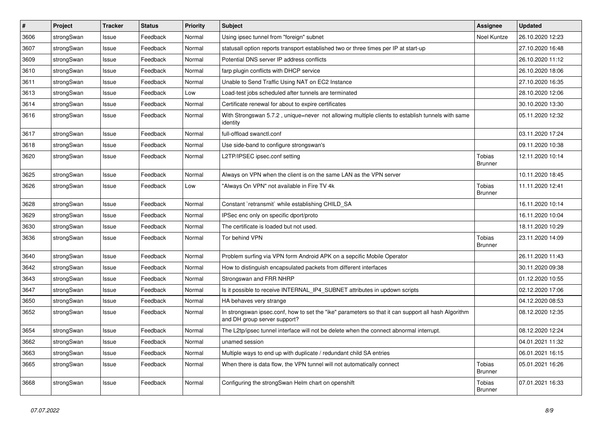| $\sharp$ | Project    | <b>Tracker</b> | <b>Status</b> | <b>Priority</b> | <b>Subject</b>                                                                                                                      | <b>Assignee</b>                 | <b>Updated</b>   |
|----------|------------|----------------|---------------|-----------------|-------------------------------------------------------------------------------------------------------------------------------------|---------------------------------|------------------|
| 3606     | strongSwan | Issue          | Feedback      | Normal          | Using ipsec tunnel from "foreign" subnet                                                                                            | Noel Kuntze                     | 26.10.2020 12:23 |
| 3607     | strongSwan | Issue          | Feedback      | Normal          | statusall option reports transport established two or three times per IP at start-up                                                |                                 | 27.10.2020 16:48 |
| 3609     | strongSwan | Issue          | Feedback      | Normal          | Potential DNS server IP address conflicts                                                                                           |                                 | 26.10.2020 11:12 |
| 3610     | strongSwan | Issue          | Feedback      | Normal          | farp plugin conflicts with DHCP service                                                                                             |                                 | 26.10.2020 18:06 |
| 3611     | strongSwan | Issue          | Feedback      | Normal          | Unable to Send Traffic Using NAT on EC2 Instance                                                                                    |                                 | 27.10.2020 16:35 |
| 3613     | strongSwan | Issue          | Feedback      | Low             | Load-test jobs scheduled after tunnels are terminated                                                                               |                                 | 28.10.2020 12:06 |
| 3614     | strongSwan | Issue          | Feedback      | Normal          | Certificate renewal for about to expire certificates                                                                                |                                 | 30.10.2020 13:30 |
| 3616     | strongSwan | Issue          | Feedback      | Normal          | With Strongswan 5.7.2, unique=never not allowing multiple clients to establish tunnels with same<br>identity                        |                                 | 05.11.2020 12:32 |
| 3617     | strongSwan | Issue          | Feedback      | Normal          | full-offload swanctl.conf                                                                                                           |                                 | 03.11.2020 17:24 |
| 3618     | strongSwan | Issue          | Feedback      | Normal          | Use side-band to configure strongswan's                                                                                             |                                 | 09.11.2020 10:38 |
| 3620     | strongSwan | Issue          | Feedback      | Normal          | L2TP/IPSEC ipsec.conf setting                                                                                                       | Tobias<br><b>Brunner</b>        | 12.11.2020 10:14 |
| 3625     | strongSwan | Issue          | Feedback      | Normal          | Always on VPN when the client is on the same LAN as the VPN server                                                                  |                                 | 10.11.2020 18:45 |
| 3626     | strongSwan | Issue          | Feedback      | Low             | "Always On VPN" not available in Fire TV 4k                                                                                         | Tobias<br><b>Brunner</b>        | 11.11.2020 12:41 |
| 3628     | strongSwan | Issue          | Feedback      | Normal          | Constant `retransmit` while establishing CHILD_SA                                                                                   |                                 | 16.11.2020 10:14 |
| 3629     | strongSwan | Issue          | Feedback      | Normal          | IPSec enc only on specific dport/proto                                                                                              |                                 | 16.11.2020 10:04 |
| 3630     | strongSwan | Issue          | Feedback      | Normal          | The certificate is loaded but not used.                                                                                             |                                 | 18.11.2020 10:29 |
| 3636     | strongSwan | Issue          | Feedback      | Normal          | Tor behind VPN                                                                                                                      | Tobias<br><b>Brunner</b>        | 23.11.2020 14:09 |
| 3640     | strongSwan | Issue          | Feedback      | Normal          | Problem surfing via VPN form Android APK on a sepcific Mobile Operator                                                              |                                 | 26.11.2020 11:43 |
| 3642     | strongSwan | Issue          | Feedback      | Normal          | How to distinguish encapsulated packets from different interfaces                                                                   |                                 | 30.11.2020 09:38 |
| 3643     | strongSwan | Issue          | Feedback      | Normal          | Strongswan and FRR NHRP                                                                                                             |                                 | 01.12.2020 10:55 |
| 3647     | strongSwan | Issue          | Feedback      | Normal          | Is it possible to receive INTERNAL_IP4_SUBNET attributes in updown scripts                                                          |                                 | 02.12.2020 17:06 |
| 3650     | strongSwan | Issue          | Feedback      | Normal          | HA behaves very strange                                                                                                             |                                 | 04.12.2020 08:53 |
| 3652     | strongSwan | Issue          | Feedback      | Normal          | In strongswan ipsec.conf, how to set the "ike" parameters so that it can support all hash Algorithm<br>and DH group server support? |                                 | 08.12.2020 12:35 |
| 3654     | strongSwan | Issue          | Feedback      | Normal          | The L2tp/ipsec tunnel interface will not be delete when the connect abnormal interrupt.                                             |                                 | 08.12.2020 12:24 |
| 3662     | strongSwan | Issue          | Feedback      | Normal          | unamed session                                                                                                                      |                                 | 04.01.2021 11:32 |
| 3663     | strongSwan | Issue          | Feedback      | Normal          | Multiple ways to end up with duplicate / redundant child SA entries                                                                 |                                 | 06.01.2021 16:15 |
| 3665     | strongSwan | Issue          | Feedback      | Normal          | When there is data flow, the VPN tunnel will not automatically connect                                                              | <b>Tobias</b><br><b>Brunner</b> | 05.01.2021 16:26 |
| 3668     | strongSwan | Issue          | Feedback      | Normal          | Configuring the strongSwan Helm chart on openshift                                                                                  | <b>Tobias</b><br><b>Brunner</b> | 07.01.2021 16:33 |